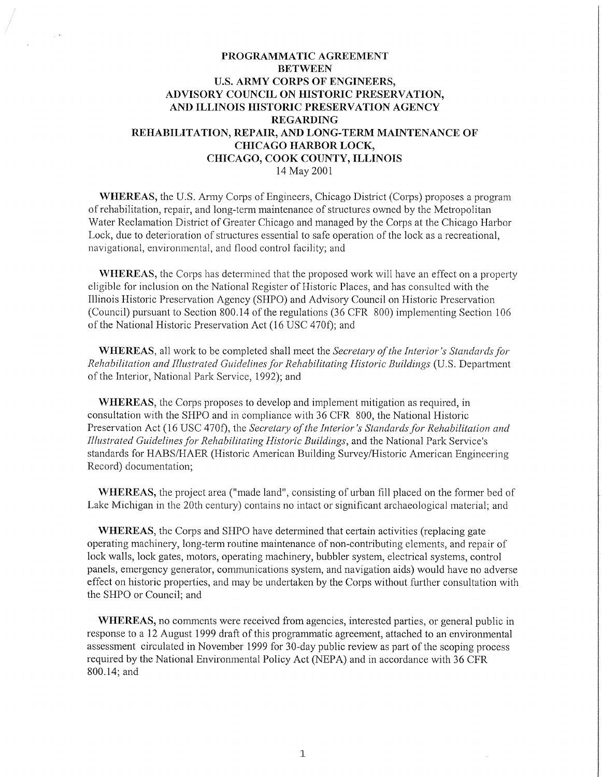# **PROGRAMMATIC AGREEMENT BETWEEN U.S. ARMY CORPS OF ENGINEERS, ADVISORY COUNCIL ON HISTORIC PRESERVATION, AND ILLINOIS HISTORIC PRESERVATION AGENCY REGARDING REHABILITATION, REP AIR, AND LONG-TERM MAINTENANCE OF CHICAGO HARBOR LOCK, CHICAGO, COOK COUNTY, ILLINOIS**  14 May 2001

**WHEREAS, the U.S. Army Corps of Engineers, Chicago District (Corps) proposes a program** ofrehabilitation, repair, and long-term maintenance of structures owned by the Metropolitan Water Reclamation District of Greater Chicago and managed by the Corps at the Chicago Harbor Lock, due to deterioration of structures essential to safe operation of the lock as a recreational, navigational, environmental, and flood control facility; and

**WHEREAS,** the Corps has determined that the proposed work will have an effect on a property eligible for inclusion on the National Register of Historic Places, and has consulted with the Illinois Historic Preservation Agency (SHPO) and Advisory Council on Historic Preservation (Council) pursuant to Section 800.14 of the regulations (36 CFR 800) implementing Section 106 of the National Historic Preservation Act (16 USC 470f); and

**WHEREAS,** all work to be completed shall meet the *Secretary of the Interior's Standards for Rehabilitation and Illustrated Guidelines for Rehabilitating Historic Buildings* (U.S. Department of the Interior, National Park Service, 1992); and

**WHEREAS,** the Corps proposes to develop and implement mitigation as required, in consultation with the SHPO and in compliance with 36 CFR 800, the National Historic Preservation Act (16 USC 470f), the *Secretary of the Interior's Standards for Rehabilitation and Illustrated Guidelines for Rehabilitating Historic Buildings,* and the National Park Service's standards for HABS/HAER (Historic American Building Survey/Historic American Engineering Record) documentation;

**WHEREAS,** the project area ("made land", consisting of urban fill placed on the former bed of Lake Michigan in the 20th century) contains no intact or significant archaeological material; and

**WHEREAS,** the Corps and SHPO have determined that certain activities (replacing gate operating machinery, long-term routine maintenance of non-contributing elements, and repair of lock walls, lock gates, motors, operating machinery, bubbler system, electrical systems, control panels, emergency generator, communications system, and navigation aids) would have no adverse effect on historic properties, and may be undertaken by the Corps without further consultation with the SHPO or Council; and

**WHEREAS,** no comments were received from agencies, interested parties, or general public in response to a 12 August 1999 draft of this programmatic agreement, attached to an environmental assessment circulated in November 1999 for 30-day public review as part of the scoping process required by the National Environmental Policy Act (NEPA) and in accordance with 36 CFR 800.14; and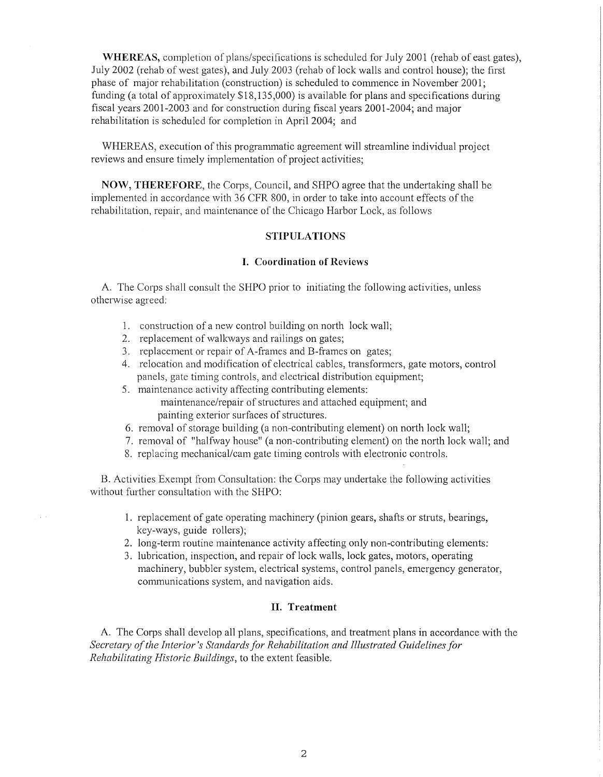**WHEREAS,** completion of plans/specifications is scheduled for July 2001 (rehab of east gates), July 2002 (rehab of west gates), and July 2003 (rehab of lock walls and control house); the first phase of major rehabilitation (construction) is scheduled to commence in November 2001; funding (a total of approximately \$18,135,000) is available for plans and specifications during fiscal years 2001-2003 and for construction during fiscal years 2001-2004; and major rehabilitation is scheduled for completion in April 2004; and

WHEREAS, execution of this programmatic agreement will streamline individual project reviews and ensure timely implementation of project activities;

**NOW, THEREFORE,** the Corps, Council, and SHPO agree that the undertaking shall be implemented in accordance with 36 CFR 800, in order to take into account effects of the rehabilitation, repair, and maintenance of the Chicago Harbor Lock, as follows

## **STIPULATIONS**

#### **I. Coordination of Reviews**

A. The Corps shall consult the SHPO prior to initiating the following activities, unless otherwise agreed:

- 1. construction of a new control building on north lock wall;
- 2. replacement of walkways and railings on gates;
- 3. replacement or repair of A-frames and B-frames on gates;
- 4. relocation and modification of electrical cables, transformers, gate motors, control panels, gate timing controls, and electrical distribution equipment;
- 5. maintenance activity affecting contributing elements: maintenance/repair of structures and attached equipment; and painting exterior surfaces of structures.
- 6. removal of storage building (a non-contributing element) on north lock wall;
- 7. removal of "halfway house" (a non-contributing element) on the north lock wall; and
- 8. replacing mechanical/cam gate timing controls with electronic controls.

B. Activities Exempt from Consultation: the Corps may undertake the following activities without further consultation with the SHPO:

- 1. replacement of gate operating machinery (pinion gears, shafts or struts, bearings, key-ways, guide rollers);
- 2. long-term routine maintenance activity affecting only non-contributing elements:
- 3. lubrication, inspection, and repair of lock walls, lock gates, motors, operating machinery, bubbler system, electrical systems, control panels, emergency generator, communications system, and navigation aids.

## **II. Treatment**

A. The Corps shall develop all plans, specifications, and treatment plans in accordance with the Secretary of the Interior's Standards for Rehabilitation and Illustrated Guidelines for *Rehabilitating Historic Buildings,* to the extent feasible.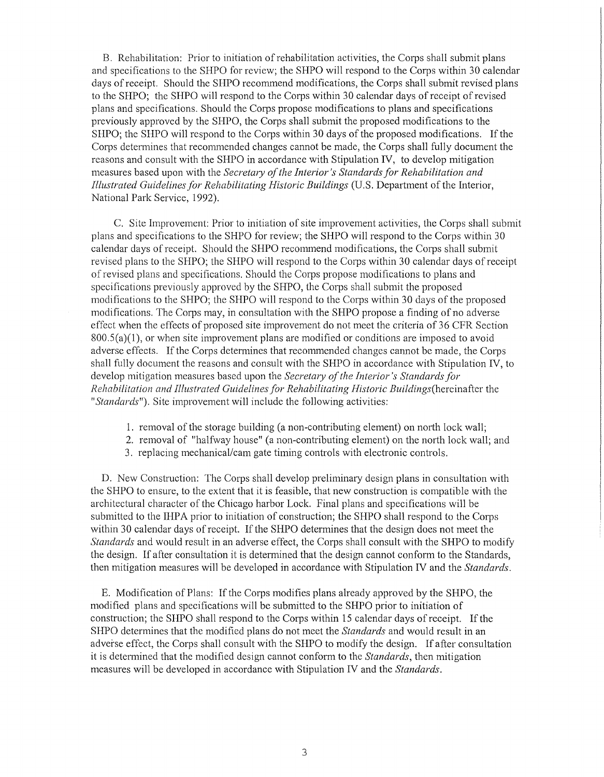B. Rehabilitation: Prior to initiation of rehabilitation activities, the Corps shall submit plans and specifications to the SHPO for review; the SHPO will respond to the Corps within 30 calendar days of receipt. Should the SHPO recommend modifications, the Corps shall submit revised plans to the SHPO; the SHPO will respond to the Corps within 30 calendar days ofreceipt ofrevised plans and specifications. Should the Corps propose modifications to plans and specifications previously approved by the SHPO, the Corps shall submit the proposed modifications to the SHPO; the SHPO will respond to the Corps within 30 days of the proposed modifications. If the Corps determines that recommended changes cannot be made, the Corps shall fully document the reasons and consult with the SHPO in accordance with Stipulation IV, to develop mitigation measures based upon with the *Secretary of the Interior's Standards for Rehabilitation and Illustrated Guidelines for Rehabilitating Historic Buildings* (U.S. Department of the Interior, National Park Service, 1992).

C. Site Improvement: Prior to initiation of site improvement activities, the Corps shall submit plans and specifications to the SHPO for review; the SHPO will respond to the Corps within 30 calendar days of receipt. Should the SHPO reconunend modifications, the Corps shall submit revised plans to the SHPO; the SHPO will respond to the Corps within 30 calendar days of receipt of revised plans and specifications. Should the Corps propose modifications to plans and specifications previously approved by the SHPO, the Corps shall submit the proposed modifications to the SHPO; the SHPO will respond to the Corps within 30 days of the proposed modifications. The Corps may, in consultation with the SHPO propose a finding of no adverse effect when the effects of proposed site improvement do not meet the criteria of 36 CFR Section  $800.5(a)(1)$ , or when site improvement plans are modified or conditions are imposed to avoid adverse effects. If the Corps determines that recommended changes cannot be made, the Corps shall fully document the reasons and consult with the **SHPO** in accordance with Stipulation IV, to develop mitigation measures based upon the *Secretary of the Interior's Standards for Rehabilitation and Illustrated Guidelines for Rehabilitating Historic Buildings(hereinafter* the *"Standards").* Site improvement will include the following activities:

- 1. removal of the storage building (a non-contributing element) on north lock wall;
- 2. removal of "halfway house" (a non-contributing element) on the north lock wall; and
- 3. replacing mechanical/cam gate timing controls with electronic controls.

D. New Construction: The Corps shall develop preliminary design plans in consultation with the SHPO to ensure, to the extent that it is feasible, that new construction is compatible with the architectural character of the Chicago harbor Lock. Final plans and specifications will be submitted to the IHPA prior to initiation of construction; the SHPO shall respond to the Corps within 30 calendar days of receipt. If the SHPO determines that the design does not meet the *Standards* and would result in an adverse effect, the Corps shall consult with the SHPO to modify the design. If after consultation it is determined that the design cannot conform to the Standards, then mitigation measures will be developed in accordance with Stipulation IV and the *Standards.* 

E. Modification of Plans: If the Corps modifies plans already approved by the SHPO, the modified plans and specifications will be submitted to the SHPO prior to initiation of construction; the SHPO shall respond to the Corps within 15 calendar days of receipt. If the SHPO determines that the modified plans do not meet the *Standards* and would result in an adverse effect, the Corps shall consult with the SHPO to modify the design. If after consultation it is determined that the modified design cannot conform to the *Standards,* then mitigation measures will be developed in accordance with Stipulation IV and the *Standards.*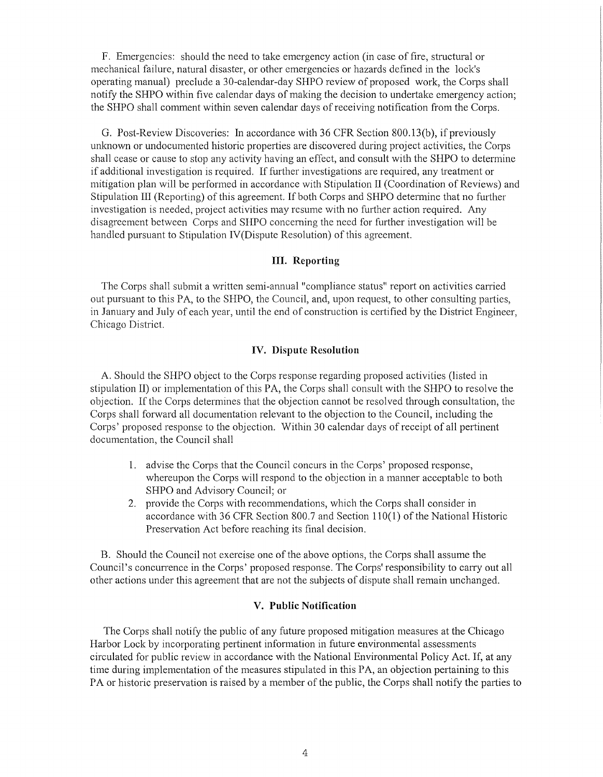F. Emergencies: should the need to take emergency action (in case of fire, structural or mechanical failure, natural disaster, or other emergencies or hazards defined in the lock's operating manual) preclude a 30-calendar-day SHPO review of proposed work, the Corps shall notify the SHPO within five calendar days of making the decision to undertake emergency action; the SHPO shall comment within seven calendar days of receiving notification from the Corps.

G. Post-Review Discoveries: In accordance with 36 CFR Section 800.13(6), if previously unknown or undocumented historic properties are discovered during project activities, the Corps shall cease or cause to stop any activity having an effect, and consult with the SHPO to determine if additional investigation is required. If further investigations are required, any treatment or mitigation plan will be perfonned in accordance with Stipulation II (Coordination of Reviews) and Stipulation III (Reporting) of this agreement. If both Corps and SHPO determine that no further investigation is needed, project activities may resume with no further action required. Any disagreement between Corps and SHPO concerning the need for further investigation will be handled pursuant to Stipulation IV(Dispute Resolution) of this agreement.

## **III. Reporting**

The Corps shall submit a written semi-annual "compliance status" report on activities carried out pursuant to this PA, to the SHPO, the Council, and, upon request, to other consulting parties, in January and July of each year, until the end of construction is certified by the District Engineer, Chicago District.

# **IV. Dispute Resolution**

A. Should the SHPO object to the Corps response regarding proposed activities (listed in stipulation II) or implementation of this PA, the Corps shall consult with the SHPO to resolve the objection. If the Corps determines that the objection cannot be resolved through consultation, the Corps shall forward all documentation relevant to the objection to the Council, including the Corps' proposed response to the objection. Within 30 calendar days ofreceipt of all pertinent documentation, the Council shall

- 1. advise the Corps that the Council concurs in the Corps' proposed response, whereupon the Corps will respond to the objection in a manner acceptable to both SHPO and Advisory Council; or
- 2. provide the Corps with recommendations, which the Corps shall consider in accordance with 36 CFR Section 800.7 and Section 110(1) of the National Historic Preservation Act before reaching its final decision.

B. Should the Council not exercise one of the above options, the Corps shall assume the Council's concurrence in the Corps' proposed response. The Corps' responsibility to carry out all other actions under this agreement that are not the subjects of dispute shall remain unchanged.

## **V. Public Notification**

The Corps shall notify the public of any future proposed mitigation measures at the Chicago Harbor Lock by incorporating pertinent information in future environmental assessments circulated for public review in accordance with the National Environmental Policy Act. If, at any time during implementation of the measures stipulated in this PA, an objection pertaining to this PA or historic preservation is raised by a member of the public, the Corps shall notify the parties to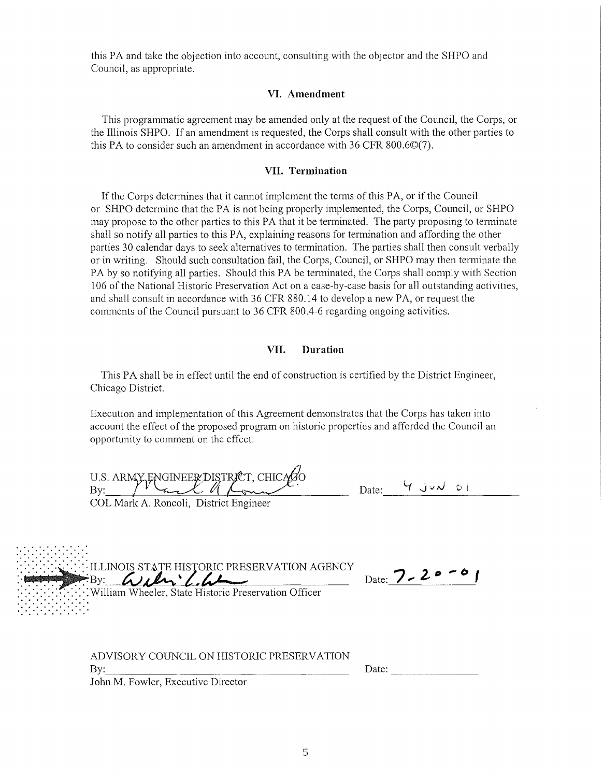this PA and take the objection into account, consulting with the objector and the SHPO and Council, as appropriate.

## **VI. Amendment**

This programmatic agreement may be amended only at the request of the Council, the Corps, or the Illinois SHPO. If an amendment is requested, the Corps shall consult with the other parties to this PA to consider such an amendment in accordance with 36 CFR 800.6©(7).

#### **VII. Termination**

If the Corps determines that it cannot implement the terms of this PA, or if the Council or SHPO detennine that the PA is not being properly implemented, the Corps, Council, or SHPO may propose to the other parties to this PA that it be terminated. The party proposing to terminate shall so notify all parties to this PA, explaining reasons for termination and affording the other parties 30 calendar days to seek alternatives to termination. The parties shall then consult verbally or in writing. Should such consultation fail, the Corps, Council, or SHPO may then terminate the PA by so notifying all parties. Should this PA be terminated, the Corps shall comply with Section 106 of the National Historic Preservation Act on a case-by-case basis for all outstanding activities, and shall consult in accordance with 36 CFR 880.14 to develop a new PA, or request the comments of the Council pursuant to 36 CFR 800.4-6 regarding ongoing activities.

## **VII. Duration**

This PA shall be in effect until the end of construction is certified by the District Engineer, Chicago District.

Execution and implementation of this Agreement demonstrates that the Corps has taken into account the effect of the proposed program on historic properties and afforded the Council an opportunity to comment on the effect.

| U.S. ARMY ENGINEER DISTRICT, CHICAGO   | Date: | Y JVN OI |
|----------------------------------------|-------|----------|
| COL Mark A. Roncoli, District Engineer |       |          |

| .<br><b>ORIC PRESERVATION AGENCY</b><br>: William Wheeler, State Historic Preservation Officer | Date: $7 - 20 - 6$ . |
|------------------------------------------------------------------------------------------------|----------------------|
|                                                                                                |                      |

ADVISORY COUNCIL ON HISTORIC PRESERVATION By: \_\_\_\_\_\_\_\_\_\_\_\_\_\_\_\_ \_

Date: --------

John M. Fowler, Executive Director